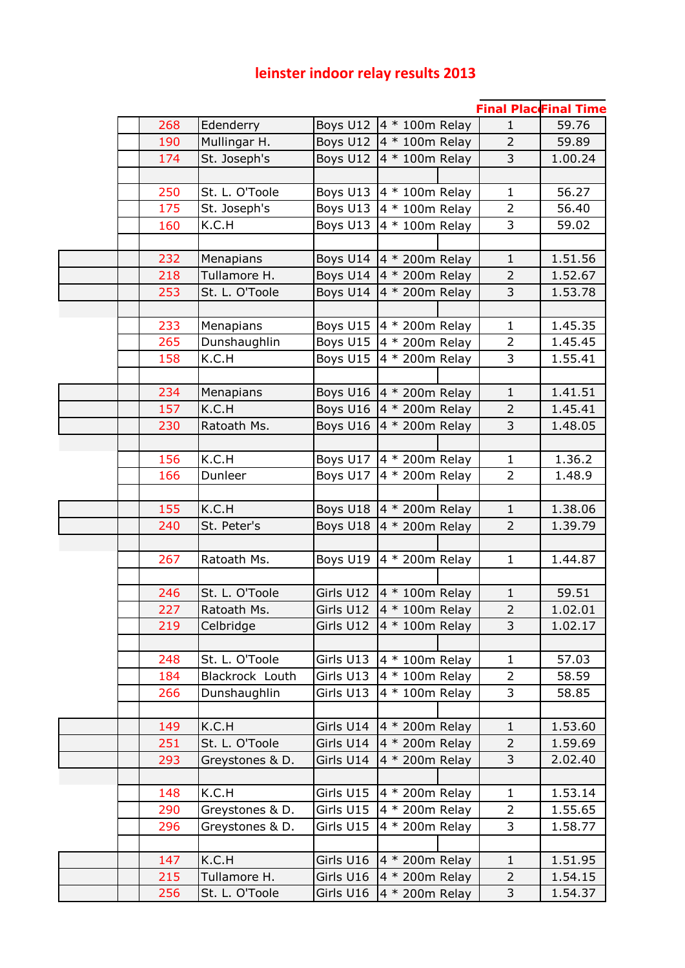## **leinster indoor relay results 2013**

|     |                 |           |                                   |                | <b>Final PlaceFinal Time</b> |
|-----|-----------------|-----------|-----------------------------------|----------------|------------------------------|
| 268 | Edenderry       |           | Boys U12   4 * 100m Relay         | $\mathbf{1}$   | 59.76                        |
| 190 | Mullingar H.    | Boys U12  | $4 * 100m$ Relay                  | $\overline{2}$ | 59.89                        |
| 174 | St. Joseph's    | Boys U12  | 4 * 100m Relay                    | 3              | 1.00.24                      |
|     |                 |           |                                   |                |                              |
| 250 | St. L. O'Toole  | Boys U13  | $4 * 100m$ Relay                  | $\mathbf{1}$   | 56.27                        |
| 175 | St. Joseph's    | Boys U13  | 4 * 100m Relay                    | $\overline{2}$ | 56.40                        |
| 160 | K.C.H           | Boys U13  | $4 * 100m$ Relay                  | 3              | 59.02                        |
|     |                 |           |                                   |                |                              |
| 232 | Menapians       | Boys U14  | $4 * 200m$ Relay                  | $\mathbf{1}$   | 1.51.56                      |
| 218 | Tullamore H.    | Boys U14  | 4 * 200m Relay                    | $\overline{2}$ | 1.52.67                      |
| 253 | St. L. O'Toole  | Boys U14  | 4 * 200m Relay                    | 3              | 1.53.78                      |
|     |                 |           |                                   |                |                              |
| 233 | Menapians       |           | Boys U15 $ 4 * 200$ m Relay       | $\mathbf{1}$   | 1.45.35                      |
| 265 | Dunshaughlin    | Boys U15  | 4 * 200m Relay                    | $\overline{2}$ | 1.45.45                      |
| 158 | K.C.H           | Boys U15  | 4 * 200m Relay                    | 3              | 1.55.41                      |
|     |                 |           |                                   |                |                              |
| 234 | Menapians       |           | Boys U16 $\vert 4 * 200$ m Relay  | $\mathbf{1}$   | 1.41.51                      |
| 157 | K.C.H           | Boys U16  | 4 * 200m Relay                    | $\overline{2}$ | 1.45.41                      |
| 230 | Ratoath Ms.     | Boys U16  | 4 * 200m Relay                    | 3              | 1.48.05                      |
|     |                 |           |                                   |                |                              |
| 156 | K.C.H           | Boys U17  | 4 * 200m Relay                    | $\mathbf{1}$   | 1.36.2                       |
| 166 | Dunleer         | Boys U17  | 4 * 200m Relay                    | $\overline{2}$ | 1.48.9                       |
|     |                 |           |                                   |                |                              |
| 155 | K.C.H           | Boys U18  | $4 * 200m$ Relay                  | $\mathbf{1}$   | 1.38.06                      |
| 240 | St. Peter's     | Boys U18  | 4 * 200m Relay                    | $\overline{2}$ | 1.39.79                      |
|     |                 |           |                                   |                |                              |
| 267 | Ratoath Ms.     | Boys U19  | 4 * 200m Relay                    | $\mathbf{1}$   | 1.44.87                      |
|     |                 |           |                                   |                |                              |
| 246 | St. L. O'Toole  | Girls U12 | 4 * 100m Relay                    | $\mathbf{1}$   | 59.51                        |
| 227 | Ratoath Ms.     | Girls U12 | 4 * 100m Relay                    | $\overline{2}$ | 1.02.01                      |
| 219 | Celbridge       |           | Girls U12 $\vert 4 * 100$ m Relay | 3              | 1.02.17                      |
|     |                 |           |                                   |                |                              |
| 248 | St. L. O'Toole  | Girls U13 | $4 * 100m$ Relay                  | $\mathbf{1}$   | 57.03                        |
| 184 | Blackrock Louth | Girls U13 | $4 * 100m$ Relay                  | $\overline{2}$ | 58.59                        |
| 266 | Dunshaughlin    | Girls U13 | $4 * 100m$ Relay                  | 3              | 58.85                        |
|     |                 |           |                                   |                |                              |
| 149 | K.C.H           | Girls U14 | 4 * 200m Relay                    | $\mathbf{1}$   | 1.53.60                      |
| 251 | St. L. O'Toole  | Girls U14 | 4 * 200m Relay                    | $\overline{2}$ | 1.59.69                      |
| 293 | Greystones & D. | Girls U14 | 4 * 200m Relay                    | 3              | 2.02.40                      |
|     |                 |           |                                   |                |                              |
| 148 | K.C.H           | Girls U15 | 4 * 200m Relay                    | $\mathbf{1}$   | 1.53.14                      |
| 290 | Greystones & D. | Girls U15 | 4 * 200m Relay                    | 2              | 1.55.65                      |
| 296 | Greystones & D. | Girls U15 | 4 * 200m Relay                    | 3              | 1.58.77                      |
|     |                 |           |                                   |                |                              |
| 147 | K.C.H           | Girls U16 | $4 * 200m$ Relay                  | $\mathbf{1}$   | 1.51.95                      |
| 215 | Tullamore H.    | Girls U16 | $4 * 200m$ Relay                  | $\overline{2}$ | 1.54.15                      |
| 256 | St. L. O'Toole  | Girls U16 | 4 * 200m Relay                    | 3              | 1.54.37                      |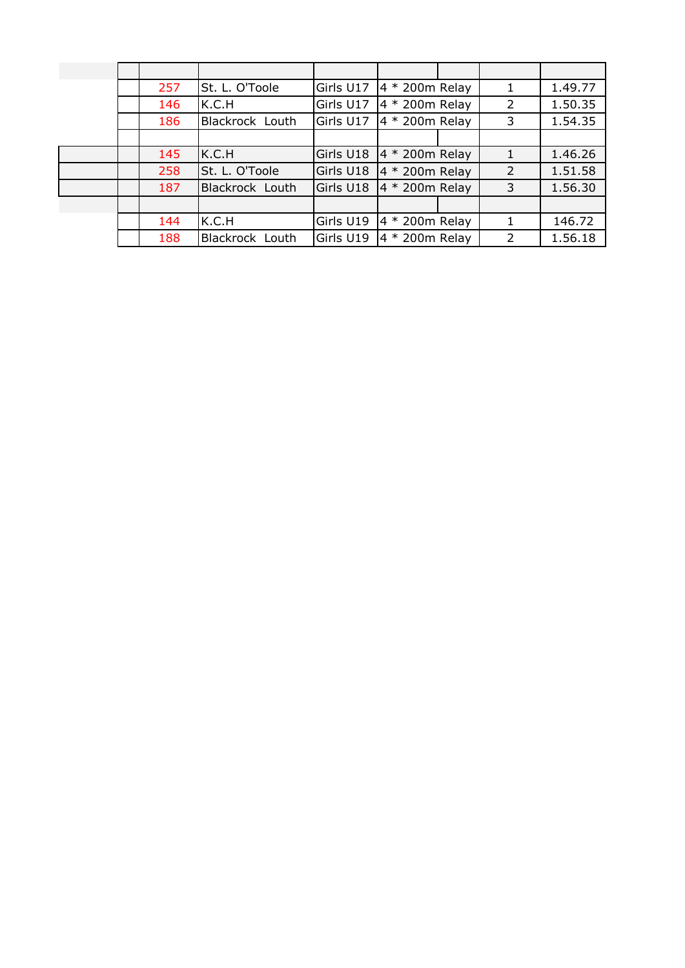|  | 257 | St. L. O'Toole  | Girls U17 | $4 * 200m$ Relay | 1              | 1.49.77 |
|--|-----|-----------------|-----------|------------------|----------------|---------|
|  | 146 | K.C.H           | Girls U17 | $4 * 200m$ Relay | 2              | 1.50.35 |
|  | 186 | Blackrock Louth | Girls U17 | $4 * 200m$ Relay | 3              | 1.54.35 |
|  |     |                 |           |                  |                |         |
|  | 145 | K.C.H           | Girls U18 | $4 * 200m$ Relay | $\mathbf{1}$   | 1.46.26 |
|  | 258 | St. L. O'Toole  | Girls U18 | 4 * 200m Relay   | $\overline{2}$ | 1.51.58 |
|  | 187 | Blackrock Louth | Girls U18 | $4 * 200m$ Relay | $\mathsf{3}$   | 1.56.30 |
|  |     |                 |           |                  |                |         |
|  | 144 | K.C.H           | Girls U19 | $4 * 200m$ Relay |                | 146.72  |
|  | 188 | Blackrock Louth | Girls U19 | $4 * 200m$ Relay | $\mathcal{P}$  | 1.56.18 |